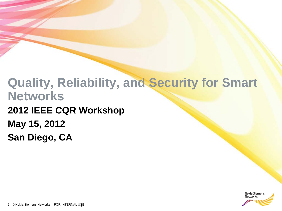# **Quality, Reliability, and Security for Smart Networks 2012 IEEE CQR Workshop May 15, 2012 San Diego, CA**

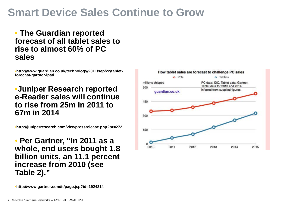## **Smart Device Sales Continue to Grow**

#### • **The Guardian reported forecast of all tablet sales to rise to almost 60% of PC sales**

•**http://www.guardian.co.uk/technology/2011/sep/22/tabletforecast-gartner-ipad**

#### •**Juniper Research reported e-Reader sales will continue to rise from 25m in 2011 to 67m in 2014**

•**http://juniperresearch.com/viewpressrelease.php?pr=272**

• **Per Gartner, "In 2011 as a whole, end users bought 1.8 billion units, an 11.1 percent increase from 2010 (see Table 2)."**



•**http://www.gartner.com/it/page.jsp?id=1924314**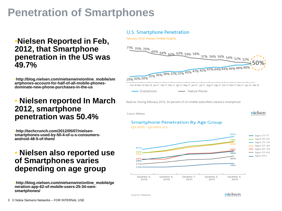# **Penetration of Smartphones**

#### •**Nielsen Reported in Feb, 2012, that Smartphone penetration in the US was 49.7%**

•**http://blog.nielsen.com/nielsenwire/online\_mobile/sm artphones-account-for-half-of-all-mobile-phonesdominate-new-phone-purchases-in-the-us**

### • **Nielsen reported In March 2012, smartphone penetration was 50.4%**

•**http://techcrunch.com/2012/05/07/nielsensmartphones-used-by-50-4-of-u-s-consumersandroid-48-5-of-them/**

#### • **Nielsen also reported use of Smartphones varies depending on age group**

•**http://blog.nielsen.com/nielsenwire/online\_mobile/ge neration-app-62-of-mobile-users-25-34-ownsmartphones/**

#### **U.S. Smartphone Penetration**

February 2012, Nielsen Mobile Insights



Source: Nielsen

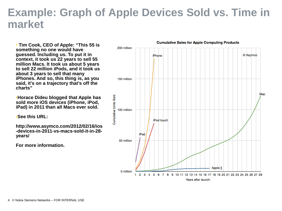### **Example: Graph of Apple Devices Sold vs. Time in market**

• **Tim Cook, CEO of Apple: "This 55 is something no one would have guessed. Including us. To put it in context, it took us 22 years to sell 55 million Macs. It took us about 5 years to sell 22 million iPods, and it took us about 3 years to sell that many iPhones. And so, this thing is, as you said, it's on a trajectory that's off the charts"** 

•**Horace Dideu blogged that Apple has sold more iOS devices (iPhone, iPod, iPad) in 2011 than all Macs ever sold.**

•**See this URL:**

**http://www.asymco.com/2012/02/16/ios -devices-in-2011-vs-macs-sold-it-in-28 years/**

**For more information.**

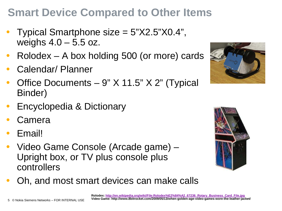# **Smart Device Compared to Other Items**

- Typical Smartphone size = 5"X2.5"X0.4", weighs  $4.0 - 5.5$  oz.
- $Rolodex A box holding 500 (or more) cards$
- Calendar/ Planner
- Office Documents 9" X 11.5" X 2" (Typical Binder)
- Encyclopedia & Dictionary
- **Camera**
- Email!
- Video Game Console (Arcade game) Upright box, or TV plus console plus controllers





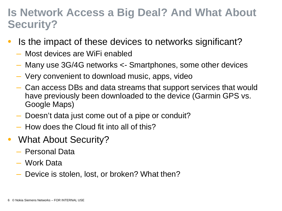### **Is Network Access a Big Deal? And What About Security?**

- Is the impact of these devices to networks significant?
	- Most devices are WiFi enabled
	- Many use 3G/4G networks <- Smartphones, some other devices
	- Very convenient to download music, apps, video
	- Can access DBs and data streams that support services that would have previously been downloaded to the device (Garmin GPS vs. Google Maps)
	- Doesn't data just come out of a pipe or conduit?
	- How does the Cloud fit into all of this?
- What About Security?
	- Personal Data
	- Work Data
	- Device is stolen, lost, or broken? What then?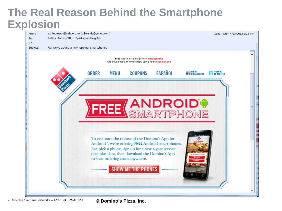## **The Real Reason Behind the Smartphone Explosion**